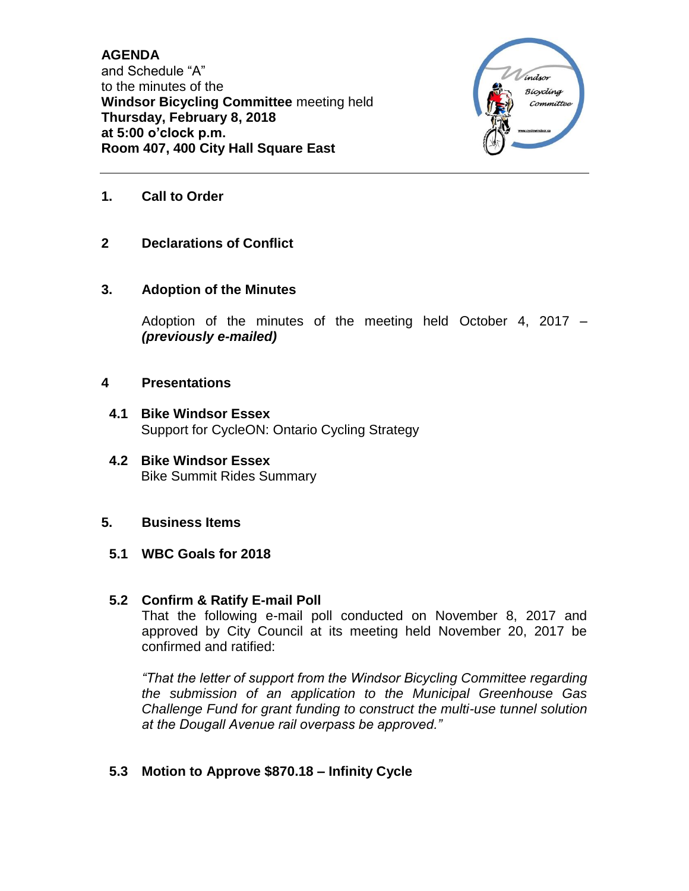**AGENDA** and Schedule "A" to the minutes of the **Windsor Bicycling Committee** meeting held **Thursday, February 8, 2018 at 5:00 o'clock p.m. Room 407, 400 City Hall Square East**



- **1. Call to Order**
- **2 Declarations of Conflict**

### **3. Adoption of the Minutes**

Adoption of the minutes of the meeting held October 4, 2017 – *(previously e-mailed)*

#### **4 Presentations**

- **4.1 Bike Windsor Essex** Support for CycleON: Ontario Cycling Strategy
- **4.2 Bike Windsor Essex** Bike Summit Rides Summary

### **5. Business Items**

**5.1 WBC Goals for 2018**

#### **5.2 Confirm & Ratify E-mail Poll**

That the following e-mail poll conducted on November 8, 2017 and approved by City Council at its meeting held November 20, 2017 be confirmed and ratified:

*"That the letter of support from the Windsor Bicycling Committee regarding the submission of an application to the Municipal Greenhouse Gas Challenge Fund for grant funding to construct the multi-use tunnel solution at the Dougall Avenue rail overpass be approved."*

### **5.3 Motion to Approve \$870.18 – Infinity Cycle**